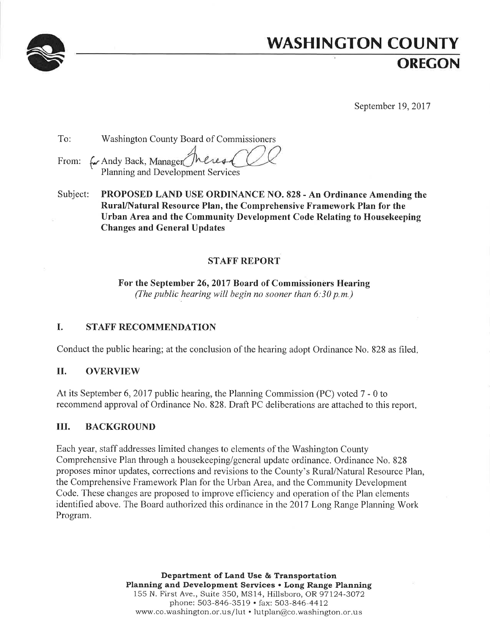

# **WASHINGTON COUNTY OREGON**

September 19, 2017

| To: | <b>Washington County Board of Commissioners</b>                            |
|-----|----------------------------------------------------------------------------|
|     | From: ( Andy Back, Manager Theres CUC<br>Planning and Development Services |

PROPOSED LAND USE ORDINANCE NO. 828 - An Ordinance Amending the Subject: Rural/Natural Resource Plan, the Comprehensive Framework Plan for the Urban Area and the Community Development Code Relating to Housekeeping **Changes and General Updates** 

# **STAFF REPORT**

For the September 26, 2017 Board of Commissioners Hearing (The public hearing will begin no sooner than  $6:30$  p.m.)

#### $\mathbf{I}$ . **STAFF RECOMMENDATION**

Conduct the public hearing; at the conclusion of the hearing adopt Ordinance No. 828 as filed.

#### II. **OVERVIEW**

At its September 6, 2017 public hearing, the Planning Commission (PC) voted 7 - 0 to recommend approval of Ordinance No. 828. Draft PC deliberations are attached to this report.

#### Ш. **BACKGROUND**

Each year, staff addresses limited changes to elements of the Washington County Comprehensive Plan through a housekeeping/general update ordinance. Ordinance No. 828 proposes minor updates, corrections and revisions to the County's Rural/Natural Resource Plan, the Comprehensive Framework Plan for the Urban Area, and the Community Development Code. These changes are proposed to improve efficiency and operation of the Plan elements identified above. The Board authorized this ordinance in the 2017 Long Range Planning Work Program.

> Department of Land Use & Transportation Planning and Development Services . Long Range Planning 155 N. First Ave., Suite 350, MS14, Hillsboro, OR 97124-3072 phone: 503-846-3519 · fax: 503-846-4412 www.co.washington.or.us/lut · lutplan@co.washington.or.us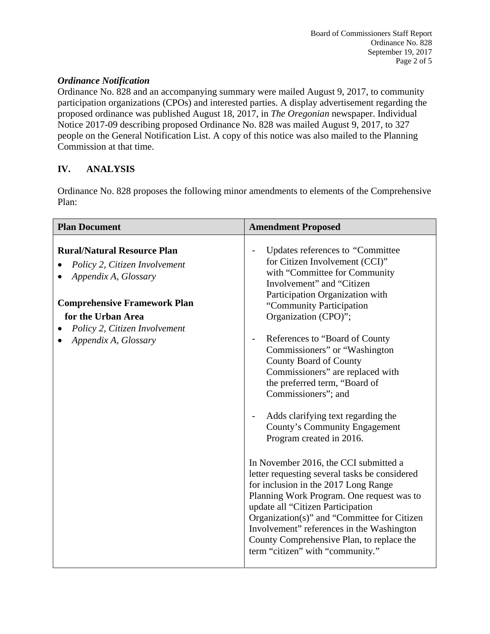## *Ordinance Notification*

Ordinance No. 828 and an accompanying summary were mailed August 9, 2017, to community participation organizations (CPOs) and interested parties. A display advertisement regarding the proposed ordinance was published August 18, 2017, in *The Oregonian* newspaper. Individual Notice 2017-09 describing proposed Ordinance No. 828 was mailed August 9, 2017, to 327 people on the General Notification List. A copy of this notice was also mailed to the Planning Commission at that time.

# **IV. ANALYSIS**

Ordinance No. 828 proposes the following minor amendments to elements of the Comprehensive Plan:

| <b>Plan Document</b>                                                                                                                                                                                              | <b>Amendment Proposed</b>                                                                                                                                                                                                                                                                                                                                                                                                                                                                                                                                                                                                                                                                                                                                                                                                                                                                                                |  |
|-------------------------------------------------------------------------------------------------------------------------------------------------------------------------------------------------------------------|--------------------------------------------------------------------------------------------------------------------------------------------------------------------------------------------------------------------------------------------------------------------------------------------------------------------------------------------------------------------------------------------------------------------------------------------------------------------------------------------------------------------------------------------------------------------------------------------------------------------------------------------------------------------------------------------------------------------------------------------------------------------------------------------------------------------------------------------------------------------------------------------------------------------------|--|
| <b>Rural/Natural Resource Plan</b><br>Policy 2, Citizen Involvement<br>Appendix A, Glossary<br><b>Comprehensive Framework Plan</b><br>for the Urban Area<br>Policy 2, Citizen Involvement<br>Appendix A, Glossary | Updates references to "Committee"<br>for Citizen Involvement (CCI)"<br>with "Committee for Community<br>Involvement" and "Citizen<br>Participation Organization with<br>"Community Participation"<br>Organization (CPO)";<br>References to "Board of County"<br>Commissioners" or "Washington"<br>County Board of County<br>Commissioners" are replaced with<br>the preferred term, "Board of<br>Commissioners"; and<br>Adds clarifying text regarding the<br>County's Community Engagement<br>Program created in 2016.<br>In November 2016, the CCI submitted a<br>letter requesting several tasks be considered<br>for inclusion in the 2017 Long Range<br>Planning Work Program. One request was to<br>update all "Citizen Participation<br>Organization(s)" and "Committee for Citizen<br>Involvement" references in the Washington<br>County Comprehensive Plan, to replace the<br>term "citizen" with "community." |  |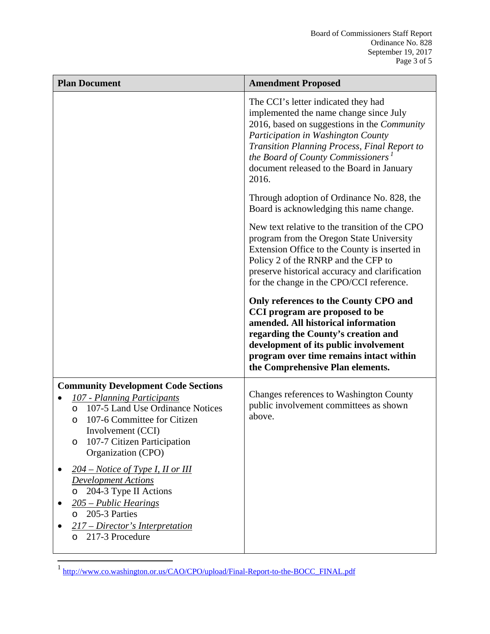| <b>Plan Document</b>                                                                                                                                                                                                                                    | <b>Amendment Proposed</b>                                                                                                                                                                                                                                                                                                  |  |
|---------------------------------------------------------------------------------------------------------------------------------------------------------------------------------------------------------------------------------------------------------|----------------------------------------------------------------------------------------------------------------------------------------------------------------------------------------------------------------------------------------------------------------------------------------------------------------------------|--|
|                                                                                                                                                                                                                                                         | The CCI's letter indicated they had<br>implemented the name change since July<br>2016, based on suggestions in the Community<br>Participation in Washington County<br>Transition Planning Process, Final Report to<br>the Board of County Commissioners <sup>1</sup><br>document released to the Board in January<br>2016. |  |
|                                                                                                                                                                                                                                                         | Through adoption of Ordinance No. 828, the<br>Board is acknowledging this name change.                                                                                                                                                                                                                                     |  |
|                                                                                                                                                                                                                                                         | New text relative to the transition of the CPO<br>program from the Oregon State University<br>Extension Office to the County is inserted in<br>Policy 2 of the RNRP and the CFP to<br>preserve historical accuracy and clarification<br>for the change in the CPO/CCI reference.                                           |  |
|                                                                                                                                                                                                                                                         | Only references to the County CPO and<br>CCI program are proposed to be<br>amended. All historical information<br>regarding the County's creation and<br>development of its public involvement<br>program over time remains intact within<br>the Comprehensive Plan elements.                                              |  |
| <b>Community Development Code Sections</b><br>107 - Planning Participants<br>107-5 Land Use Ordinance Notices<br>$\circ$<br>107-6 Committee for Citizen<br>$\circ$<br>Involvement (CCI)<br>107-7 Citizen Participation<br>$\circ$<br>Organization (CPO) | Changes references to Washington County<br>public involvement committees as shown<br>above.                                                                                                                                                                                                                                |  |
| $204$ – Notice of Type I, II or III<br><b>Development Actions</b><br>204-3 Type II Actions<br>$\circ$<br>205 – Public Hearings<br>205-3 Parties<br>$\Omega$<br>217 – Director's Interpretation<br>217-3 Procedure<br>$\Omega$                           |                                                                                                                                                                                                                                                                                                                            |  |

<sup>&</sup>lt;sup>1</sup> http://www.co.washington.or.us/CAO/CPO/upload/Final-Report-to-the-BOCC\_FINAL.pdf

 $\overline{a}$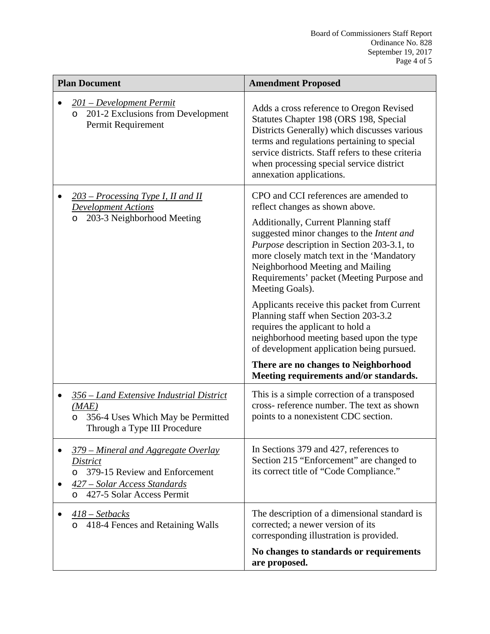| <b>Plan Document</b>                                                                                                                                                    | <b>Amendment Proposed</b>                                                                                                                                                                                                                                                                                                                                                                                                                                                                                                                                                                                                                                                |  |
|-------------------------------------------------------------------------------------------------------------------------------------------------------------------------|--------------------------------------------------------------------------------------------------------------------------------------------------------------------------------------------------------------------------------------------------------------------------------------------------------------------------------------------------------------------------------------------------------------------------------------------------------------------------------------------------------------------------------------------------------------------------------------------------------------------------------------------------------------------------|--|
| 201 – Development Permit<br>201-2 Exclusions from Development<br>$\circ$<br>Permit Requirement                                                                          | Adds a cross reference to Oregon Revised<br>Statutes Chapter 198 (ORS 198, Special<br>Districts Generally) which discusses various<br>terms and regulations pertaining to special<br>service districts. Staff refers to these criteria<br>when processing special service district<br>annexation applications.                                                                                                                                                                                                                                                                                                                                                           |  |
| $203$ – Processing Type I, II and II<br><b>Development Actions</b><br>203-3 Neighborhood Meeting<br>$\circ$                                                             | CPO and CCI references are amended to<br>reflect changes as shown above.<br>Additionally, Current Planning staff<br>suggested minor changes to the Intent and<br><i>Purpose</i> description in Section 203-3.1, to<br>more closely match text in the 'Mandatory<br>Neighborhood Meeting and Mailing<br>Requirements' packet (Meeting Purpose and<br>Meeting Goals).<br>Applicants receive this packet from Current<br>Planning staff when Section 203-3.2<br>requires the applicant to hold a<br>neighborhood meeting based upon the type<br>of development application being pursued.<br>There are no changes to Neighborhood<br>Meeting requirements and/or standards. |  |
| 356 – Land Extensive Industrial District<br>(MAE)<br>356-4 Uses Which May be Permitted<br>$\circ$<br>Through a Type III Procedure                                       | This is a simple correction of a transposed<br>cross- reference number. The text as shown<br>points to a nonexistent CDC section.                                                                                                                                                                                                                                                                                                                                                                                                                                                                                                                                        |  |
| 379 – Mineral and Aggregate Overlay<br><b>District</b><br>379-15 Review and Enforcement<br>$\Omega$<br><u>427 – Solar Access Standards</u><br>427-5 Solar Access Permit | In Sections 379 and 427, references to<br>Section 215 "Enforcement" are changed to<br>its correct title of "Code Compliance."                                                                                                                                                                                                                                                                                                                                                                                                                                                                                                                                            |  |
| $418$ – Setbacks<br>418-4 Fences and Retaining Walls                                                                                                                    | The description of a dimensional standard is<br>corrected; a newer version of its<br>corresponding illustration is provided.<br>No changes to standards or requirements                                                                                                                                                                                                                                                                                                                                                                                                                                                                                                  |  |
|                                                                                                                                                                         | are proposed.                                                                                                                                                                                                                                                                                                                                                                                                                                                                                                                                                                                                                                                            |  |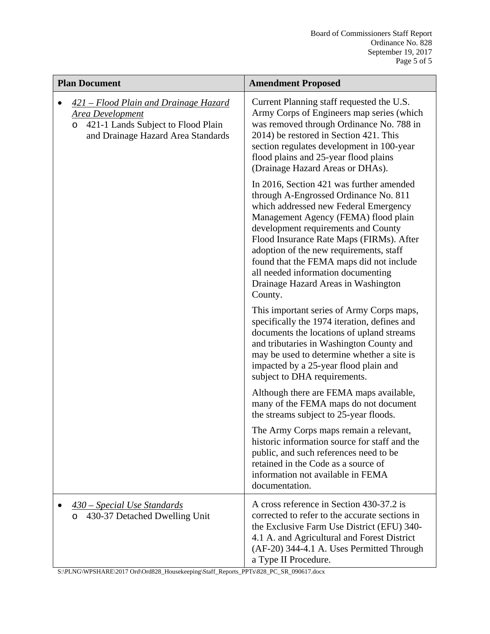| <b>Plan Document</b>                                                                                                                             | <b>Amendment Proposed</b>                                                                                                                                                                                                                                                                                                                                                                                                            |  |
|--------------------------------------------------------------------------------------------------------------------------------------------------|--------------------------------------------------------------------------------------------------------------------------------------------------------------------------------------------------------------------------------------------------------------------------------------------------------------------------------------------------------------------------------------------------------------------------------------|--|
| 421 - Flood Plain and Drainage Hazard<br>Area Development<br>421-1 Lands Subject to Flood Plain<br>$\circ$<br>and Drainage Hazard Area Standards | Current Planning staff requested the U.S.<br>Army Corps of Engineers map series (which<br>was removed through Ordinance No. 788 in<br>2014) be restored in Section 421. This<br>section regulates development in 100-year<br>flood plains and 25-year flood plains<br>(Drainage Hazard Areas or DHAs).                                                                                                                               |  |
|                                                                                                                                                  | In 2016, Section 421 was further amended<br>through A-Engrossed Ordinance No. 811<br>which addressed new Federal Emergency<br>Management Agency (FEMA) flood plain<br>development requirements and County<br>Flood Insurance Rate Maps (FIRMs). After<br>adoption of the new requirements, staff<br>found that the FEMA maps did not include<br>all needed information documenting<br>Drainage Hazard Areas in Washington<br>County. |  |
|                                                                                                                                                  | This important series of Army Corps maps,<br>specifically the 1974 iteration, defines and<br>documents the locations of upland streams<br>and tributaries in Washington County and<br>may be used to determine whether a site is<br>impacted by a 25-year flood plain and<br>subject to DHA requirements.                                                                                                                            |  |
|                                                                                                                                                  | Although there are FEMA maps available,<br>many of the FEMA maps do not document<br>the streams subject to 25-year floods.                                                                                                                                                                                                                                                                                                           |  |
|                                                                                                                                                  | The Army Corps maps remain a relevant,<br>historic information source for staff and the<br>public, and such references need to be<br>retained in the Code as a source of<br>information not available in FEMA<br>documentation.                                                                                                                                                                                                      |  |
| 430 – Special Use Standards<br>430-37 Detached Dwelling Unit<br>$\circ$                                                                          | A cross reference in Section 430-37.2 is<br>corrected to refer to the accurate sections in<br>the Exclusive Farm Use District (EFU) 340-<br>4.1 A. and Agricultural and Forest District<br>(AF-20) 344-4.1 A. Uses Permitted Through<br>a Type II Procedure.                                                                                                                                                                         |  |

S:\PLNG\WPSHARE\2017 Ord\Ord828\_Housekeeping\Staff\_Reports\_PPTs\828\_PC\_SR\_090617.docx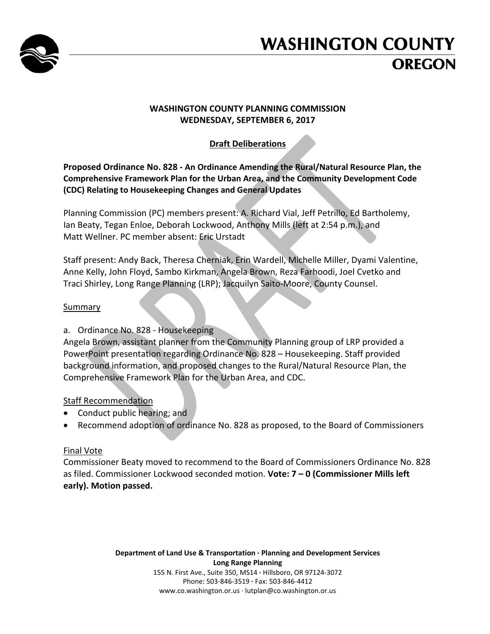

# **WASHINGTON COUNTY OREGON**

# **WASHINGTON COUNTY PLANNING COMMISSION WEDNESDAY, SEPTEMBER 6, 2017**

# **Draft Deliberations**

## **Proposed Ordinance No. 828 ‐ An Ordinance Amending the Rural/Natural Resource Plan, the Comprehensive Framework Plan for the Urban Area, and the Community Development Code (CDC) Relating to Housekeeping Changes and General Updates**

Planning Commission (PC) members present: A. Richard Vial, Jeff Petrillo, Ed Bartholemy, Ian Beaty, Tegan Enloe, Deborah Lockwood, Anthony Mills (left at 2:54 p.m.), and Matt Wellner. PC member absent: Eric Urstadt

Staff present: Andy Back, Theresa Cherniak, Erin Wardell, Michelle Miller, Dyami Valentine, Anne Kelly, John Floyd, Sambo Kirkman, Angela Brown, Reza Farhoodi, Joel Cvetko and Traci Shirley, Long Range Planning (LRP); Jacquilyn Saito‐Moore, County Counsel.

## Summary

# a. Ordinance No. 828 ‐ Housekeeping

Angela Brown, assistant planner from the Community Planning group of LRP provided a PowerPoint presentation regarding Ordinance No. 828 – Housekeeping. Staff provided background information, and proposed changes to the Rural/Natural Resource Plan, the Comprehensive Framework Plan for the Urban Area, and CDC.

# Staff Recommendation

- Conduct public hearing; and
- Recommend adoption of ordinance No. 828 as proposed, to the Board of Commissioners

# Final Vote

Commissioner Beaty moved to recommend to the Board of Commissioners Ordinance No. 828 as filed. Commissioner Lockwood seconded motion. **Vote: 7 – 0 (Commissioner Mills left early). Motion passed.**

> **Department of Land Use & Transportation ∙ Planning and Development Services Long Range Planning** 155 N. First Ave., Suite 350, MS14 **∙** Hillsboro, OR 97124‐3072 Phone: 503‐846‐3519 **∙** Fax: 503‐846‐4412 www.co.washington.or.us ∙ lutplan@co.washington.or.us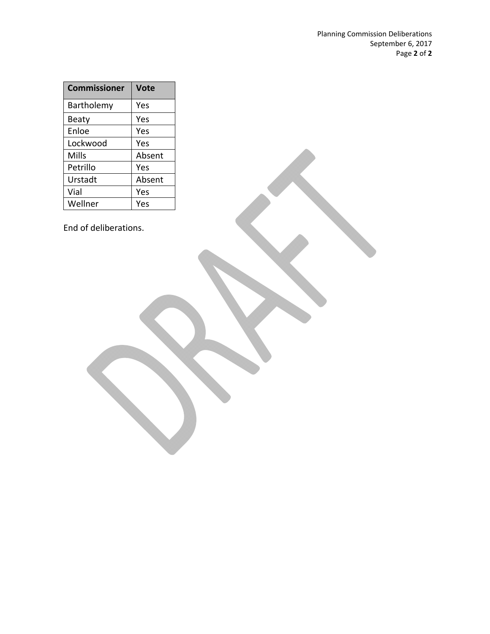| <b>Commissioner</b> | Vote   |
|---------------------|--------|
| Bartholemy          | Yes    |
| Beaty               | Yes    |
| Enloe               | Yes    |
| Lockwood            | Yes    |
| Mills               | Absent |
| Petrillo            | Yes    |
| Urstadt             | Absent |
| Vial                | Yes    |
| Wellner             | Yes    |

End of deliberations.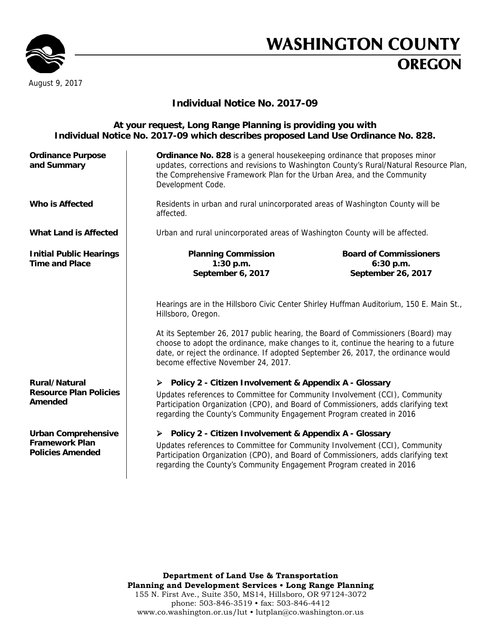

# **WASHINGTON COUNTY OREGON**

# **Individual Notice No. 2017-09**

#### **At your request, Long Range Planning is providing you with Individual Notice No. 2017-09 which describes proposed Land Use Ordinance No. 828. Ordinance Purpose and Summary Ordinance No. 828** is a general housekeeping ordinance that proposes minor updates, corrections and revisions to Washington County's Rural/Natural Resource Plan, the Comprehensive Framework Plan for the Urban Area, and the Community Development Code. **Who is Affected** Residents in urban and rural unincorporated areas of Washington County will be affected. What Land is Affected | Urban and rural unincorporated areas of Washington County will be affected. **Initial Public Hearings Time and Place Planning Commission 1:30 p.m. September 6, 2017 Board of Commissioners 6:30 p.m. September 26, 2017**  Hearings are in the Hillsboro Civic Center Shirley Huffman Auditorium, 150 E. Main St., Hillsboro, Oregon. At its September 26, 2017 public hearing, the Board of Commissioners (Board) may choose to adopt the ordinance, make changes to it, continue the hearing to a future date, or reject the ordinance. If adopted September 26, 2017, the ordinance would become effective November 24, 2017. **Rural/Natural Resource Plan Policies Amended Policy 2 - Citizen Involvement & Appendix A - Glossary** Updates references to Committee for Community Involvement (CCI), Community Participation Organization (CPO), and Board of Commissioners, adds clarifying text regarding the County's Community Engagement Program created in 2016 **Urban Comprehensive Framework Plan Policies Amended Policy 2 - Citizen Involvement & Appendix A - Glossary**  Updates references to Committee for Community Involvement (CCI), Community Participation Organization (CPO), and Board of Commissioners, adds clarifying text regarding the County's Community Engagement Program created in 2016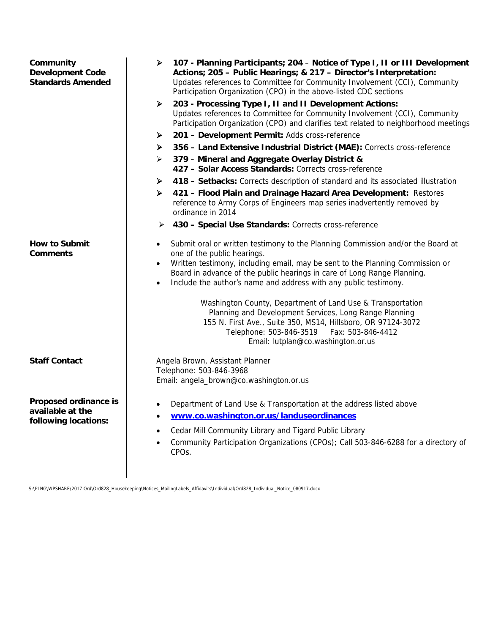| Community<br><b>Development Code</b><br><b>Standards Amended</b>  | 107 - Planning Participants; 204 - Notice of Type I, II or III Development<br>➤<br>Actions; 205 - Public Hearings; & 217 - Director's Interpretation:<br>Updates references to Committee for Community Involvement (CCI), Community<br>Participation Organization (CPO) in the above-listed CDC sections<br>203 - Processing Type I, II and II Development Actions:<br>➤<br>Updates references to Committee for Community Involvement (CCI), Community<br>Participation Organization (CPO) and clarifies text related to neighborhood meetings<br>201 - Development Permit: Adds cross-reference<br>➤<br>356 - Land Extensive Industrial District (MAE): Corrects cross-reference<br>≻<br>379 - Mineral and Aggregate Overlay District &<br>➤<br>427 - Solar Access Standards: Corrects cross-reference<br>418 - Setbacks: Corrects description of standard and its associated illustration<br>➤<br>421 - Flood Plain and Drainage Hazard Area Development: Restores<br>≻<br>reference to Army Corps of Engineers map series inadvertently removed by<br>ordinance in 2014<br>430 - Special Use Standards: Corrects cross-reference<br>➤ |
|-------------------------------------------------------------------|------------------------------------------------------------------------------------------------------------------------------------------------------------------------------------------------------------------------------------------------------------------------------------------------------------------------------------------------------------------------------------------------------------------------------------------------------------------------------------------------------------------------------------------------------------------------------------------------------------------------------------------------------------------------------------------------------------------------------------------------------------------------------------------------------------------------------------------------------------------------------------------------------------------------------------------------------------------------------------------------------------------------------------------------------------------------------------------------------------------------------------------|
| <b>How to Submit</b><br><b>Comments</b>                           | Submit oral or written testimony to the Planning Commission and/or the Board at<br>$\bullet$<br>one of the public hearings.<br>Written testimony, including email, may be sent to the Planning Commission or<br>$\bullet$<br>Board in advance of the public hearings in care of Long Range Planning.<br>Include the author's name and address with any public testimony.<br>Washington County, Department of Land Use & Transportation<br>Planning and Development Services, Long Range Planning<br>155 N. First Ave., Suite 350, MS14, Hillsboro, OR 97124-3072<br>Telephone: 503-846-3519<br>Fax: 503-846-4412<br>Email: lutplan@co.washington.or.us                                                                                                                                                                                                                                                                                                                                                                                                                                                                                   |
| <b>Staff Contact</b>                                              | Angela Brown, Assistant Planner<br>Telephone: 503-846-3968<br>Email: angela_brown@co.washington.or.us                                                                                                                                                                                                                                                                                                                                                                                                                                                                                                                                                                                                                                                                                                                                                                                                                                                                                                                                                                                                                                    |
| Proposed ordinance is<br>available at the<br>following locations: | Department of Land Use & Transportation at the address listed above<br>www.co.washington.or.us/landuseordinances<br>Cedar Mill Community Library and Tigard Public Library<br>Community Participation Organizations (CPOs); Call 503-846-6288 for a directory of<br>CPO <sub>s</sub> .                                                                                                                                                                                                                                                                                                                                                                                                                                                                                                                                                                                                                                                                                                                                                                                                                                                   |

S:\PLNG\WPSHARE\2017 Ord\Ord828\_Housekeeping\Notices\_MailingLabels\_Affidavits\Individual\Ord828\_Individual\_Notice\_080917.docx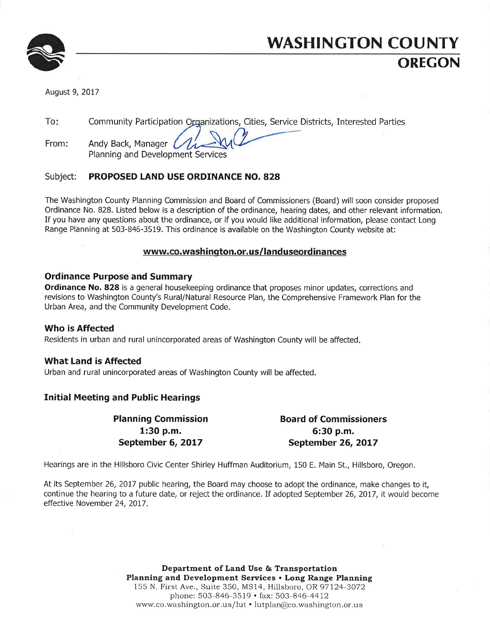

# **WASHINGTON COUNTY** OREGON

August 9, 2017

To<sup>\*</sup> Community Participation Organizations, Cities, Service Districts, Interested Parties

Andv Back, Manager ( From: Planning and Development Services

#### PROPOSED LAND USE ORDINANCE NO. 828 Subject:

The Washington County Planning Commission and Board of Commissioners (Board) will soon consider proposed Ordinance No. 828. Listed below is a description of the ordinance, hearing dates, and other relevant information. If you have any questions about the ordinance, or if you would like additional information, please contact Long Range Planning at 503-846-3519. This ordinance is available on the Washington County website at:

### www.co.washington.or.us/landuseordinances

### **Ordinance Purpose and Summary**

Ordinance No. 828 is a general housekeeping ordinance that proposes minor updates, corrections and revisions to Washington County's Rural/Natural Resource Plan, the Comprehensive Framework Plan for the Urban Area, and the Community Development Code.

### Who is Affected

Residents in urban and rural unincorporated areas of Washington County will be affected.

### **What Land is Affected**

Urban and rural unincorporated areas of Washington County will be affected.

## **Initial Meeting and Public Hearings**

**Planning Commission**  $1:30 p.m.$ September 6, 2017

**Board of Commissioners** 6:30 p.m. September 26, 2017

Hearings are in the Hillsboro Civic Center Shirley Huffman Auditorium, 150 E. Main St., Hillsboro, Oregon.

At its September 26, 2017 public hearing, the Board may choose to adopt the ordinance, make changes to it, continue the hearing to a future date, or reject the ordinance. If adopted September 26, 2017, it would become effective November 24, 2017.

> Department of Land Use & Transportation Planning and Development Services . Long Range Planning 155 N. First Ave., Suite 350, MS14, Hillsboro, OR 97124-3072 phone: 503-846-3519 • fax: 503-846-4412 www.co.washington.or.us/lut · lutplan@co.washington.or.us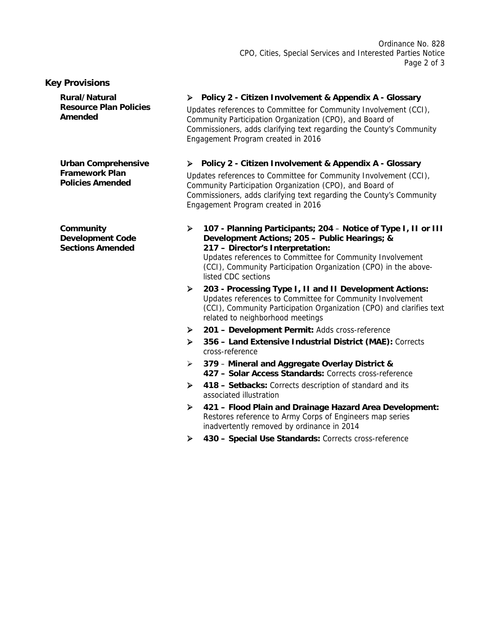#### **Key Provisions**

**Rural/Natural Resource Plan Policies Amended** 

**Urban Comprehensive Framework Plan Policies Amended** 

**Community Development Code Sections Amended** 

#### **Policy 2 - Citizen Involvement & Appendix A - Glossary**

Updates references to Committee for Community Involvement (CCI), Community Participation Organization (CPO), and Board of Commissioners, adds clarifying text regarding the County's Community Engagement Program created in 2016

#### **Policy 2 - Citizen Involvement & Appendix A - Glossary**

Updates references to Committee for Community Involvement (CCI), Community Participation Organization (CPO), and Board of Commissioners, adds clarifying text regarding the County's Community Engagement Program created in 2016

 **107 - Planning Participants; 204** – **Notice of Type I, II or III Development Actions; 205 – Public Hearings; & 217 – Director's Interpretation:**  Updates references to Committee for Community Involvement

(CCI), Community Participation Organization (CPO) in the abovelisted CDC sections

- **203 Processing Type I, II and II Development Actions:**  Updates references to Committee for Community Involvement (CCI), Community Participation Organization (CPO) and clarifies text related to neighborhood meetings
- **201 Development Permit:** Adds cross-reference
- **356 Land Extensive Industrial District (MAE):** Corrects cross-reference
- **379 Mineral and Aggregate Overlay District & 427 – Solar Access Standards:** Corrects cross-reference
- **418 Setbacks:** Corrects description of standard and its associated illustration
- **421 Flood Plain and Drainage Hazard Area Development:**  Restores reference to Army Corps of Engineers map series inadvertently removed by ordinance in 2014
- **430 Special Use Standards:** Corrects cross-reference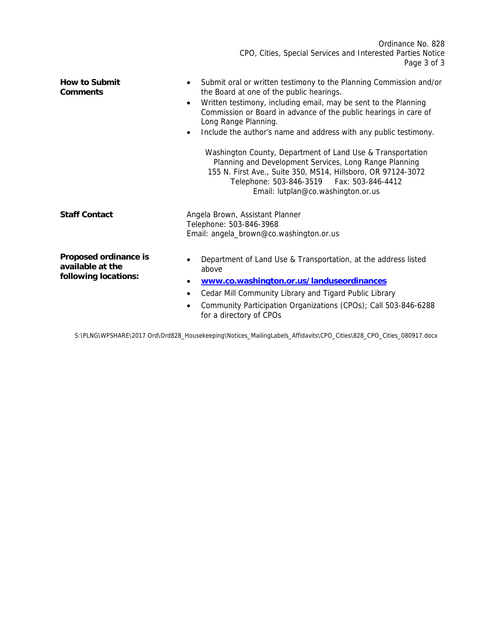Ordinance No. 828 CPO, Cities, Special Services and Interested Parties Notice Page 3 of 3 **How to Submit Comments**  Submit oral or written testimony to the Planning Commission and/or the Board at one of the public hearings. Written testimony, including email, may be sent to the Planning Commission or Board in advance of the public hearings in care of Long Range Planning. • Include the author's name and address with any public testimony. Washington County, Department of Land Use & Transportation Planning and Development Services, Long Range Planning 155 N. First Ave., Suite 350, MS14, Hillsboro, OR 97124-3072 Telephone: 503-846-3519 Fax: 503-846-4412 Email: lutplan@co.washington.or.us **Staff Contact Angela Brown, Assistant Planner** Telephone: 503-846-3968 Email: angela\_brown@co.washington.or.us **Proposed ordinance is available at the following locations:**  • Department of Land Use & Transportation, at the address listed above **www.co.washington.or.us/landuseordinances**

- Cedar Mill Community Library and Tigard Public Library
- Community Participation Organizations (CPOs); Call 503-846-6288 for a directory of CPOs

S:\PLNG\WPSHARE\2017 Ord\Ord828\_Housekeeping\Notices\_MailingLabels\_Affidavits\CPO\_Cities\828\_CPO\_Cities\_080917.docx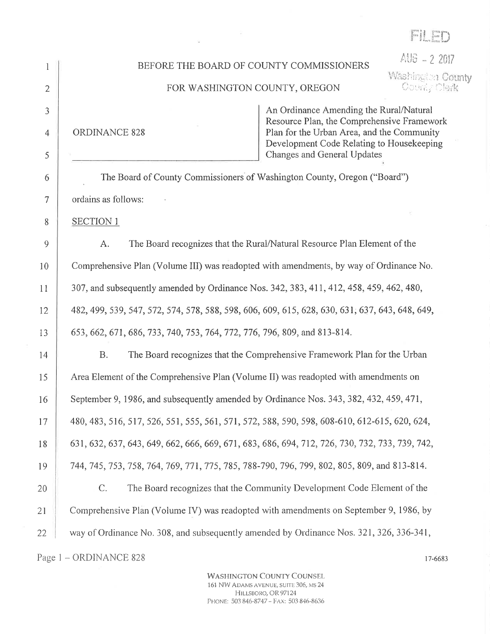AHB = 2 2017

Washington County

Gounty Clerk

# BEFORE THE BOARD OF COUNTY COMMISSIONERS

#### FOR WASHINGTON COUNTY, OREGON

**ORDINANCE 828** 

An Ordinance Amending the Rural/Natural Resource Plan, the Comprehensive Framework Plan for the Urban Area, and the Community Development Code Relating to Housekeeping Changes and General Updates

The Board of County Commissioners of Washington County, Oregon ("Board") ordains as follows:

**SECTION 1** 

A. The Board recognizes that the Rural/Natural Resource Plan Element of the Comprehensive Plan (Volume III) was readopted with amendments, by way of Ordinance No. 307, and subsequently amended by Ordinance Nos. 342, 383, 411, 412, 458, 459, 462, 480, 482, 499, 539, 547, 572, 574, 578, 588, 598, 606, 609, 615, 628, 630, 631, 637, 643, 648, 649, 653, 662, 671, 686, 733, 740, 753, 764, 772, 776, 796, 809, and 813-814.

**B.** The Board recognizes that the Comprehensive Framework Plan for the Urban Area Element of the Comprehensive Plan (Volume II) was readopted with amendments on September 9, 1986, and subsequently amended by Ordinance Nos. 343, 382, 432, 459, 471, 480, 483, 516, 517, 526, 551, 555, 561, 571, 572, 588, 590, 598, 608-610, 612-615, 620, 624, 631, 632, 637, 643, 649, 662, 666, 669, 671, 683, 686, 694, 712, 726, 730, 732, 733, 739, 742, 744, 745, 753, 758, 764, 769, 771, 775, 785, 788-790, 796, 799, 802, 805, 809, and 813-814.  $C_{\cdot}$ The Board recognizes that the Community Development Code Element of the Comprehensive Plan (Volume IV) was readopted with amendments on September 9, 1986, by way of Ordinance No. 308, and subsequently amended by Ordinance Nos. 321, 326, 336-341, 22

Page 1 - ORDINANCE 828

**WASHINGTON COUNTY COUNSEL** 161 NW ADAMS AVENUE, SUITE 306, MS 24 HILLSBORO, OR 97124 PHONE: 503 846-8747 - FAX: 503 846-8636

17-6683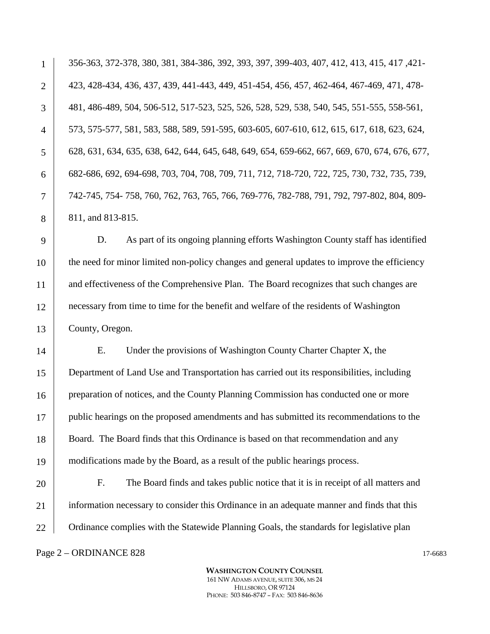356-363, 372-378, 380, 381, 384-386, 392, 393, 397, 399-403, 407, 412, 413, 415, 417 ,421- 423, 428-434, 436, 437, 439, 441-443, 449, 451-454, 456, 457, 462-464, 467-469, 471, 478- 481, 486-489, 504, 506-512, 517-523, 525, 526, 528, 529, 538, 540, 545, 551-555, 558-561, 573, 575-577, 581, 583, 588, 589, 591-595, 603-605, 607-610, 612, 615, 617, 618, 623, 624, 628, 631, 634, 635, 638, 642, 644, 645, 648, 649, 654, 659-662, 667, 669, 670, 674, 676, 677, 682-686, 692, 694-698, 703, 704, 708, 709, 711, 712, 718-720, 722, 725, 730, 732, 735, 739, 742-745, 754- 758, 760, 762, 763, 765, 766, 769-776, 782-788, 791, 792, 797-802, 804, 809- 811, and 813-815.

D. As part of its ongoing planning efforts Washington County staff has identified the need for minor limited non-policy changes and general updates to improve the efficiency and effectiveness of the Comprehensive Plan. The Board recognizes that such changes are necessary from time to time for the benefit and welfare of the residents of Washington County, Oregon.

14 15 16 17 18 19 E. Under the provisions of Washington County Charter Chapter X, the Department of Land Use and Transportation has carried out its responsibilities, including preparation of notices, and the County Planning Commission has conducted one or more public hearings on the proposed amendments and has submitted its recommendations to the Board. The Board finds that this Ordinance is based on that recommendation and any modifications made by the Board, as a result of the public hearings process.

20 21 22 F. The Board finds and takes public notice that it is in receipt of all matters and information necessary to consider this Ordinance in an adequate manner and finds that this Ordinance complies with the Statewide Planning Goals, the standards for legislative plan

#### Page  $2 -$  ORDINANCE 828 17-6683

1

2

3

4

5

6

7

8

9

10

11

12

13

**WASHINGTON COUNTY COUNSEL** 161 NW ADAMS AVENUE, SUITE 306, MS 24 HILLSBORO, OR 97124 PHONE: 503 846-8747 – FAX: 503 846-8636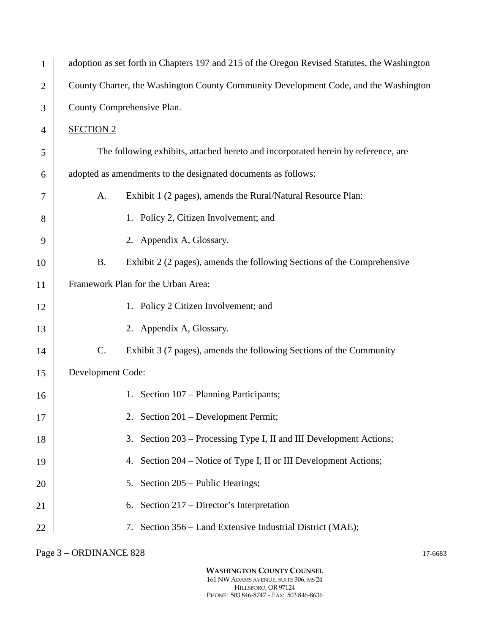| $\mathbf{1}$   | adoption as set forth in Chapters 197 and 215 of the Oregon Revised Statutes, the Washington |  |  |
|----------------|----------------------------------------------------------------------------------------------|--|--|
| $\overline{c}$ | County Charter, the Washington County Community Development Code, and the Washington         |  |  |
| 3              | County Comprehensive Plan.                                                                   |  |  |
| 4              | <b>SECTION 2</b>                                                                             |  |  |
| 5              | The following exhibits, attached hereto and incorporated herein by reference, are            |  |  |
| 6              | adopted as amendments to the designated documents as follows:                                |  |  |
| 7              | Exhibit 1 (2 pages), amends the Rural/Natural Resource Plan:<br>A.                           |  |  |
| 8              | 1. Policy 2, Citizen Involvement; and                                                        |  |  |
| 9              | 2. Appendix A, Glossary.                                                                     |  |  |
| 10             | <b>B.</b><br>Exhibit 2 (2 pages), amends the following Sections of the Comprehensive         |  |  |
| 11             | Framework Plan for the Urban Area:                                                           |  |  |
| 12             | 1. Policy 2 Citizen Involvement; and                                                         |  |  |
| 13             | 2. Appendix A, Glossary.                                                                     |  |  |
| 14             | C.<br>Exhibit 3 (7 pages), amends the following Sections of the Community                    |  |  |
| 15             | Development Code:                                                                            |  |  |
| 16             | 1. Section 107 – Planning Participants;                                                      |  |  |
| 17             | 2. Section 201 – Development Permit;                                                         |  |  |
| 18             | Section 203 – Processing Type I, II and III Development Actions;<br>3.                       |  |  |
| 19             | 4. Section 204 – Notice of Type I, II or III Development Actions;                            |  |  |
| 20             | 5. Section 205 – Public Hearings;                                                            |  |  |
| 21             | Section 217 – Director's Interpretation<br>6.                                                |  |  |
| 22             | 7. Section 356 – Land Extensive Industrial District (MAE);                                   |  |  |

Page 3 – ORDINANCE 828 17-6683

**WASHINGTON COUNTY COUNSEL** 161 NW ADAMS AVENUE, SUITE 306, MS 24 HILLSBORO, OR 97124 PHONE: 503 846-8747 – FAX: 503 846-8636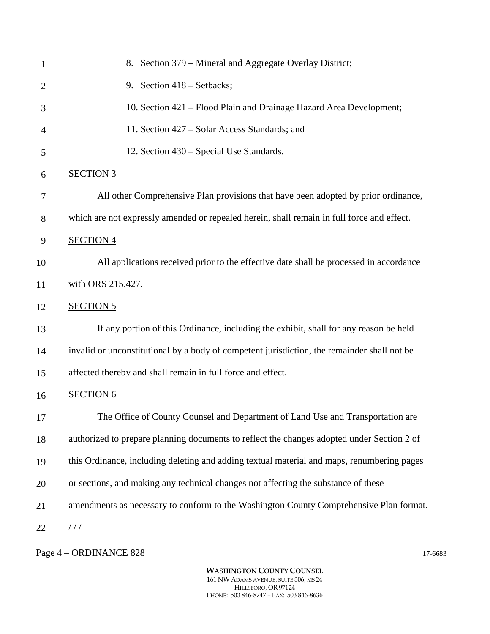| $\mathbf{1}$   | 8. Section 379 – Mineral and Aggregate Overlay District;                                    |
|----------------|---------------------------------------------------------------------------------------------|
| $\overline{2}$ | 9. Section 418 – Setbacks;                                                                  |
| 3              | 10. Section 421 – Flood Plain and Drainage Hazard Area Development;                         |
| 4              | 11. Section 427 – Solar Access Standards; and                                               |
| 5              | 12. Section 430 – Special Use Standards.                                                    |
| 6              | <b>SECTION 3</b>                                                                            |
| 7              | All other Comprehensive Plan provisions that have been adopted by prior ordinance,          |
| 8              | which are not expressly amended or repealed herein, shall remain in full force and effect.  |
| 9              | <b>SECTION 4</b>                                                                            |
| 10             | All applications received prior to the effective date shall be processed in accordance      |
| 11             | with ORS 215.427.                                                                           |
| 12             | <b>SECTION 5</b>                                                                            |
| 13             | If any portion of this Ordinance, including the exhibit, shall for any reason be held       |
| 14             | invalid or unconstitutional by a body of competent jurisdiction, the remainder shall not be |
| 15             | affected thereby and shall remain in full force and effect.                                 |
| 16             | <b>SECTION 6</b>                                                                            |
| 17             | The Office of County Counsel and Department of Land Use and Transportation are              |
| 18             | authorized to prepare planning documents to reflect the changes adopted under Section 2 of  |
| 19             | this Ordinance, including deleting and adding textual material and maps, renumbering pages  |
| 20             | or sections, and making any technical changes not affecting the substance of these          |
| 21             | amendments as necessary to conform to the Washington County Comprehensive Plan format.      |
| 22             | //                                                                                          |

# Page 4 – ORDINANCE 828 17-6683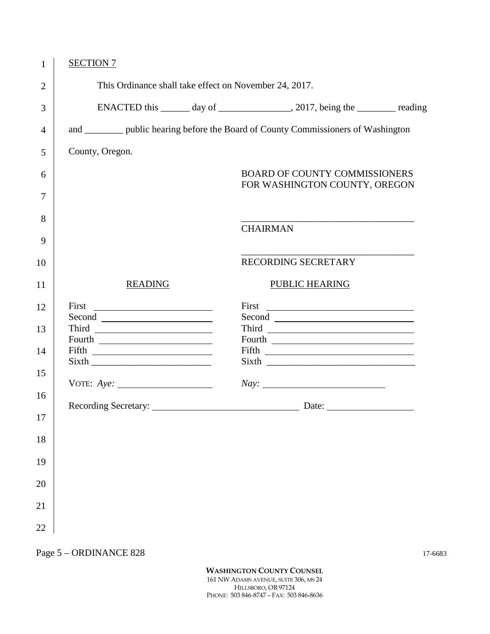| 1              | <b>SECTION 7</b>                                                                     |                 |                                                                                   |  |
|----------------|--------------------------------------------------------------------------------------|-----------------|-----------------------------------------------------------------------------------|--|
| $\overline{2}$ | This Ordinance shall take effect on November 24, 2017.                               |                 |                                                                                   |  |
| 3              |                                                                                      |                 | ENACTED this _______ day of __________________, 2017, being the _________ reading |  |
| $\overline{4}$ | and __________ public hearing before the Board of County Commissioners of Washington |                 |                                                                                   |  |
| 5              | County, Oregon.                                                                      |                 |                                                                                   |  |
| 6              |                                                                                      |                 | <b>BOARD OF COUNTY COMMISSIONERS</b><br>FOR WASHINGTON COUNTY, OREGON             |  |
| 7              |                                                                                      |                 |                                                                                   |  |
| 8              |                                                                                      | <b>CHAIRMAN</b> |                                                                                   |  |
| 9              |                                                                                      |                 |                                                                                   |  |
| 10             |                                                                                      |                 | RECORDING SECRETARY                                                               |  |
| 11             | <b>READING</b>                                                                       |                 | <b>PUBLIC HEARING</b>                                                             |  |
| 12             | First                                                                                |                 |                                                                                   |  |
| 13             |                                                                                      |                 |                                                                                   |  |
|                | Fourth                                                                               |                 |                                                                                   |  |
| 14             |                                                                                      |                 |                                                                                   |  |
| 15             |                                                                                      |                 |                                                                                   |  |
|                |                                                                                      |                 | Nay:                                                                              |  |
| 16             |                                                                                      |                 |                                                                                   |  |
| 17             |                                                                                      |                 |                                                                                   |  |
|                |                                                                                      |                 |                                                                                   |  |
| 18             |                                                                                      |                 |                                                                                   |  |
| 19             |                                                                                      |                 |                                                                                   |  |
| $20\,$         |                                                                                      |                 |                                                                                   |  |
| 21             |                                                                                      |                 |                                                                                   |  |
| $22\,$         |                                                                                      |                 |                                                                                   |  |

Page 5 – ORDINANCE 828 17-6683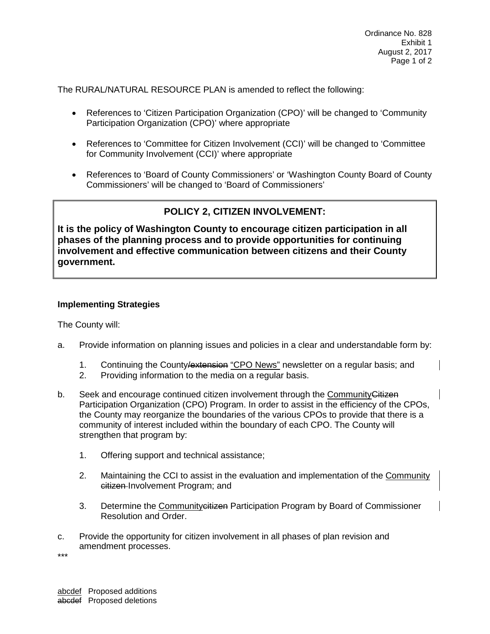The RURAL/NATURAL RESOURCE PLAN is amended to reflect the following:

- References to 'Citizen Participation Organization (CPO)' will be changed to 'Community Participation Organization (CPO)' where appropriate
- References to 'Committee for Citizen Involvement (CCI)' will be changed to 'Committee for Community Involvement (CCI)' where appropriate
- References to 'Board of County Commissioners' or 'Washington County Board of County Commissioners' will be changed to 'Board of Commissioners'

# **POLICY 2, CITIZEN INVOLVEMENT:**

**It is the policy of Washington County to encourage citizen participation in all phases of the planning process and to provide opportunities for continuing involvement and effective communication between citizens and their County government.**

#### **Implementing Strategies**

The County will:

- a. Provide information on planning issues and policies in a clear and understandable form by:
	- 1. Continuing the County/extension "CPO News" newsletter on a regular basis; and
	- 2. Providing information to the media on a regular basis.
- b. Seek and encourage continued citizen involvement through the Community Citizen Participation Organization (CPO) Program. In order to assist in the efficiency of the CPOs, the County may reorganize the boundaries of the various CPOs to provide that there is a community of interest included within the boundary of each CPO. The County will strengthen that program by:
	- 1. Offering support and technical assistance;
	- 2. Maintaining the CCI to assist in the evaluation and implementation of the Community citizen Involvement Program; and
	- 3. Determine the Community citizen Participation Program by Board of Commissioner Resolution and Order.
- c. Provide the opportunity for citizen involvement in all phases of plan revision and amendment processes.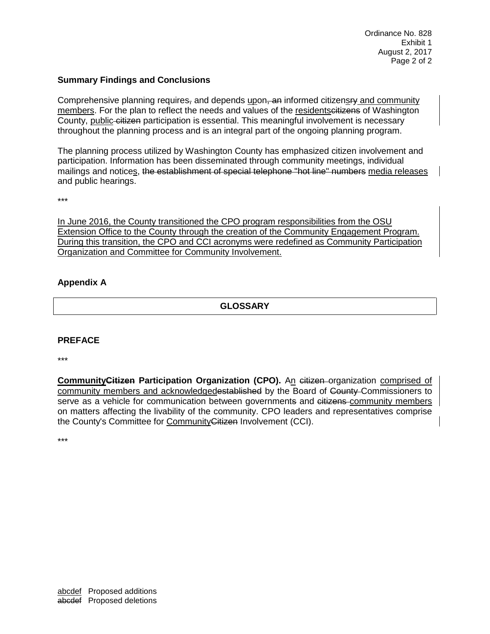#### **Summary Findings and Conclusions**

Comprehensive planning requires, and depends upon, an informed citizensry and community members. For the plan to reflect the needs and values of the residentsettizens of Washington County, public-citizen participation is essential. This meaningful involvement is necessary throughout the planning process and is an integral part of the ongoing planning program.

The planning process utilized by Washington County has emphasized citizen involvement and participation. Information has been disseminated through community meetings, individual mailings and notices, the establishment of special telephone "hot line" numbers media releases and public hearings.

\*\*\*

In June 2016, the County transitioned the CPO program responsibilities from the OSU Extension Office to the County through the creation of the Community Engagement Program. During this transition, the CPO and CCI acronyms were redefined as Community Participation Organization and Committee for Community Involvement.

#### **Appendix A**

**GLOSSARY**

#### **PREFACE**

\*\*\*

**CommunityCitizen Participation Organization (CPO).** An citizen organization comprised of community members and acknowledgedestablished by the Board of County-Commissioners to serve as a vehicle for communication between governments and citizens community members on matters affecting the livability of the community. CPO leaders and representatives comprise the County's Committee for CommunityCitizen Involvement (CCI).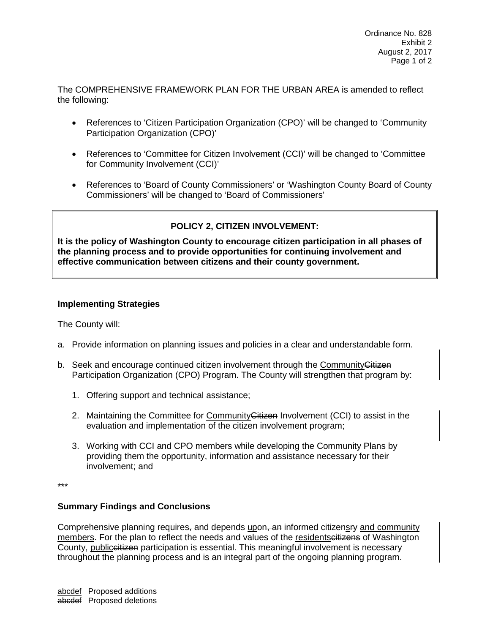The COMPREHENSIVE FRAMEWORK PLAN FOR THE URBAN AREA is amended to reflect the following:

- References to 'Citizen Participation Organization (CPO)' will be changed to 'Community Participation Organization (CPO)'
- References to 'Committee for Citizen Involvement (CCI)' will be changed to 'Committee for Community Involvement (CCI)'
- References to 'Board of County Commissioners' or 'Washington County Board of County Commissioners' will be changed to 'Board of Commissioners'

# **POLICY 2, CITIZEN INVOLVEMENT:**

**It is the policy of Washington County to encourage citizen participation in all phases of the planning process and to provide opportunities for continuing involvement and effective communication between citizens and their county government.**

### **Implementing Strategies**

The County will:

- a. Provide information on planning issues and policies in a clear and understandable form.
- b. Seek and encourage continued citizen involvement through the Community Gitizen Participation Organization (CPO) Program. The County will strengthen that program by:
	- 1. Offering support and technical assistance;
	- 2. Maintaining the Committee for Community Gitizen Involvement (CCI) to assist in the evaluation and implementation of the citizen involvement program;
	- 3. Working with CCI and CPO members while developing the Community Plans by providing them the opportunity, information and assistance necessary for their involvement; and

\*\*\*

#### **Summary Findings and Conclusions**

Comprehensive planning requires, and depends upon, an informed citizensry and community members. For the plan to reflect the needs and values of the residents eitizens of Washington County, publiccitizen participation is essential. This meaningful involvement is necessary throughout the planning process and is an integral part of the ongoing planning program.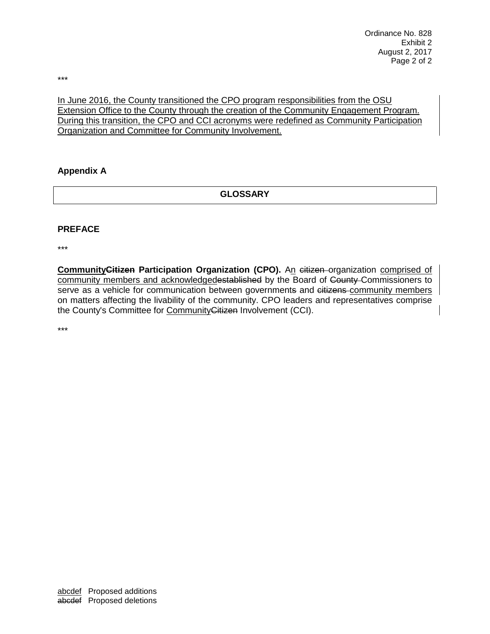\*\*\*

In June 2016, the County transitioned the CPO program responsibilities from the OSU Extension Office to the County through the creation of the Community Engagement Program. During this transition, the CPO and CCI acronyms were redefined as Community Participation Organization and Committee for Community Involvement.

#### **Appendix A**

**GLOSSARY**

#### **PREFACE**

\*\*\*

**CommunityCitizen Participation Organization (CPO).** An citizen organization comprised of community members and acknowledgedestablished by the Board of County Commissioners to serve as a vehicle for communication between governments and eitizens community members on matters affecting the livability of the community. CPO leaders and representatives comprise the County's Committee for CommunityCitizen Involvement (CCI).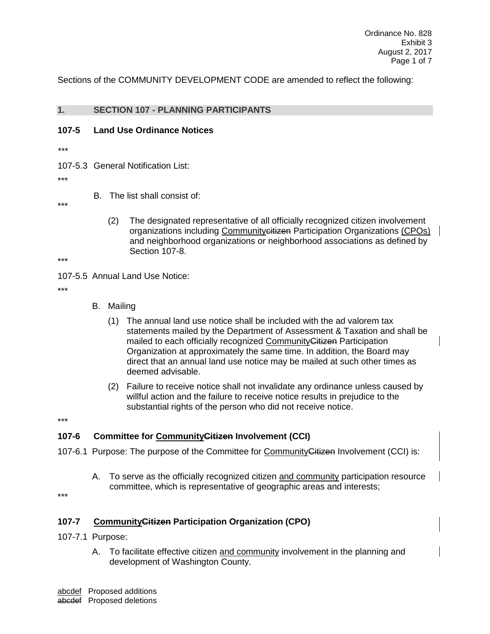Sections of the COMMUNITY DEVELOPMENT CODE are amended to reflect the following:

### **1. SECTION 107 - PLANNING PARTICIPANTS**

#### **107-5 Land Use Ordinance Notices**

- *\*\*\**
- 107-5.3 General Notification List:

\*\*\*

B. The list shall consist of:

\*\*\*

(2) The designated representative of all officially recognized citizen involvement organizations including Community eitizen Participation Organizations (CPOs) and neighborhood organizations or neighborhood associations as defined by Section 107-8.

\*\*\*

107-5.5 Annual Land Use Notice:

\*\*\*

- B. Mailing
	- (1) The annual land use notice shall be included with the ad valorem tax statements mailed by the Department of Assessment & Taxation and shall be mailed to each officially recognized Community Citizen Participation Organization at approximately the same time. In addition, the Board may direct that an annual land use notice may be mailed at such other times as deemed advisable.
	- (2) Failure to receive notice shall not invalidate any ordinance unless caused by willful action and the failure to receive notice results in prejudice to the substantial rights of the person who did not receive notice.

\*\*\*

### **107-6 Committee for CommunityCitizen Involvement (CCI)**

- 107-6.1 Purpose: The purpose of the Committee for Community Gitizen Involvement (CCI) is:
	- A. To serve as the officially recognized citizen and community participation resource committee, which is representative of geographic areas and interests;

\*\*\*

### **107-7 CommunityCitizen Participation Organization (CPO)**

- 107-7.1 Purpose:
	- A. To facilitate effective citizen and community involvement in the planning and development of Washington County.

abcdef Proposed additions abcdef Proposed deletions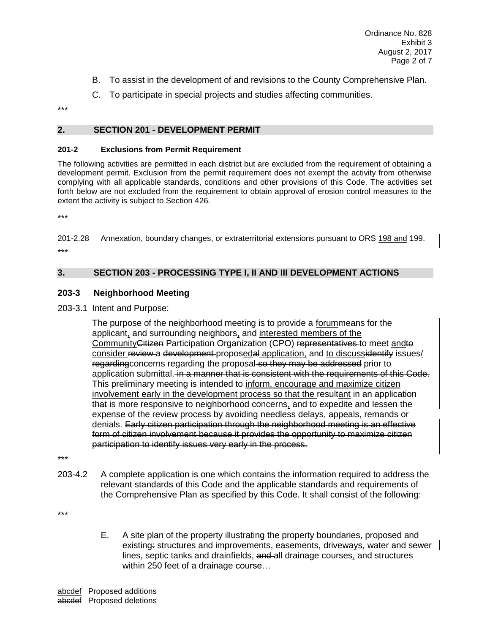- B. To assist in the development of and revisions to the County Comprehensive Plan.
- C. To participate in special projects and studies affecting communities.

\*\*\*

### **2. SECTION 201 - DEVELOPMENT PERMIT**

#### **201-2 Exclusions from Permit Requirement**

The following activities are permitted in each district but are excluded from the requirement of obtaining a development permit. Exclusion from the permit requirement does not exempt the activity from otherwise complying with all applicable standards, conditions and other provisions of this Code. The activities set forth below are not excluded from the requirement to obtain approval of erosion control measures to the extent the activity is subject to Section 426.

\*\*\*

201-2.28 Annexation, boundary changes, or extraterritorial extensions pursuant to ORS 198 and 199. \*\*\*

### **3. SECTION 203 - PROCESSING TYPE I, II AND III DEVELOPMENT ACTIONS**

#### **203-3 Neighborhood Meeting**

203-3.1 Intent and Purpose:

The purpose of the neighborhood meeting is to provide a forummeans for the applicant, and surrounding neighbors, and interested members of the CommunityCitizen Participation Organization (CPO) representatives to meet andto consider review a development proposedal application, and to discussidentify issues/ regarding concerns regarding the proposal so they may be addressed prior to application submittal. in a manner that is consistent with the requirements of this Code. This preliminary meeting is intended to inform, encourage and maximize citizen involvement early in the development process so that the resultant in an application that is more responsive to neighborhood concerns, and to expedite and lessen the expense of the review process by avoiding needless delays, appeals, remands or denials. Early citizen participation through the neighborhood meeting is an effective form of citizen involvement because it provides the opportunity to maximize citizen participation to identify issues very early in the process.

\*\*\*

203-4.2 A complete application is one which contains the information required to address the relevant standards of this Code and the applicable standards and requirements of the Comprehensive Plan as specified by this Code. It shall consist of the following:

\*\*\*

E. A site plan of the property illustrating the property boundaries, proposed and existing: structures and improvements, easements, driveways, water and sewer lines, septic tanks and drainfields, and all drainage courses, and structures within 250 feet of a drainage course…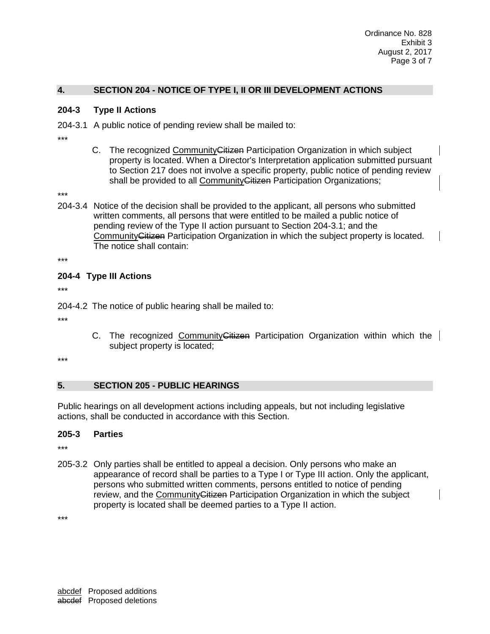### **4. SECTION 204 - NOTICE OF TYPE I, II OR III DEVELOPMENT ACTIONS**

#### **204-3 Type II Actions**

204-3.1 A public notice of pending review shall be mailed to:

- \*\*\*
- C. The recognized Community Gitizen Participation Organization in which subject property is located. When a Director's Interpretation application submitted pursuant to Section 217 does not involve a specific property, public notice of pending review shall be provided to all Community Citizen Participation Organizations;

\*\*\*

204-3.4 Notice of the decision shall be provided to the applicant, all persons who submitted written comments, all persons that were entitled to be mailed a public notice of pending review of the Type II action pursuant to Section 204-3.1; and the CommunityCitizen Participation Organization in which the subject property is located. The notice shall contain:

\*\*\*

### **204-4 Type III Actions**

\*\*\*

204-4.2 The notice of public hearing shall be mailed to:

\*\*\*

C. The recognized Community Citizen Participation Organization within which the subject property is located;

\*\*\*

### **5. SECTION 205 - PUBLIC HEARINGS**

Public hearings on all development actions including appeals, but not including legislative actions, shall be conducted in accordance with this Section.

### **205-3 Parties**

\*\*\*

205-3.2 Only parties shall be entitled to appeal a decision. Only persons who make an appearance of record shall be parties to a Type I or Type III action. Only the applicant, persons who submitted written comments, persons entitled to notice of pending review, and the Community Citizen Participation Organization in which the subject property is located shall be deemed parties to a Type II action.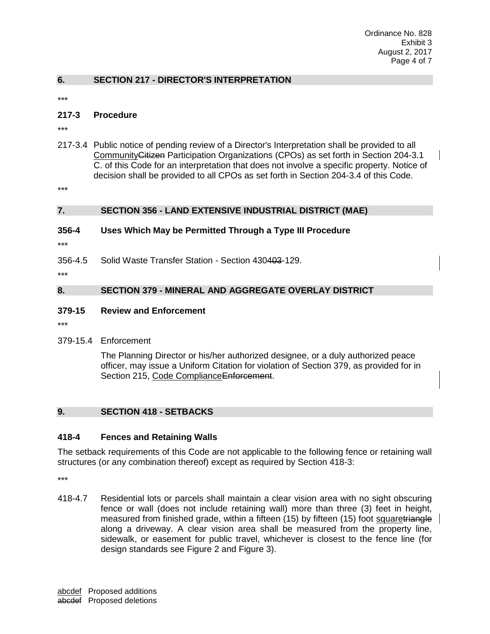#### **6. SECTION 217 - DIRECTOR'S INTERPRETATION**

\*\*\*

#### **217-3 Procedure**

\*\*\*

217-3.4 Public notice of pending review of a Director's Interpretation shall be provided to all CommunityCitizen Participation Organizations (CPOs) as set forth in Section 204-3.1 C. of this Code for an interpretation that does not involve a specific property. Notice of decision shall be provided to all CPOs as set forth in Section 204-3.4 of this Code.

\*\*\*

#### **7. SECTION 356 - LAND EXTENSIVE INDUSTRIAL DISTRICT (MAE)**

#### **356-4 Uses Which May be Permitted Through a Type III Procedure**

\*\*\*

356-4.5 Solid Waste Transfer Station - Section 430403-129.

\*\*\*

### **8. SECTION 379 - MINERAL AND AGGREGATE OVERLAY DISTRICT**

#### **379-15 Review and Enforcement**

\*\*\*

379-15.4 Enforcement

The Planning Director or his/her authorized designee, or a duly authorized peace officer, may issue a Uniform Citation for violation of Section 379, as provided for in Section 215, Code ComplianceEnforcement.

#### **9. SECTION 418 - SETBACKS**

#### **418-4 Fences and Retaining Walls**

The setback requirements of this Code are not applicable to the following fence or retaining wall structures (or any combination thereof) except as required by Section 418-3:

\*\*\*

418-4.7 Residential lots or parcels shall maintain a clear vision area with no sight obscuring fence or wall (does not include retaining wall) more than three (3) feet in height, measured from finished grade, within a fifteen (15) by fifteen (15) foot squaretriangle along a driveway. A clear vision area shall be measured from the property line, sidewalk, or easement for public travel, whichever is closest to the fence line (for design standards see Figure 2 and Figure 3).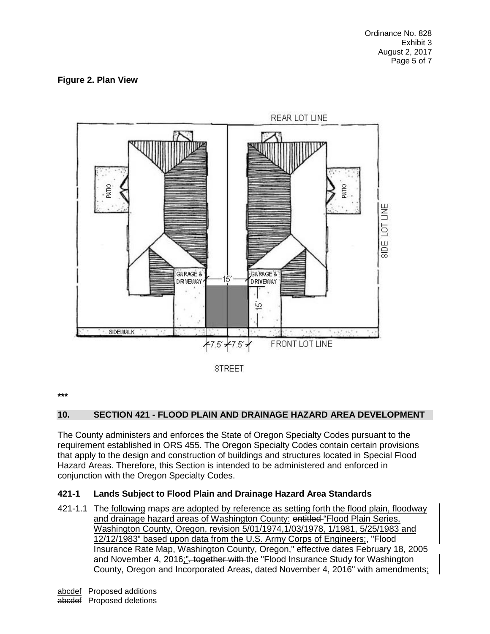### **Figure 2. Plan View**





**\*\*\***

### **10. SECTION 421 - FLOOD PLAIN AND DRAINAGE HAZARD AREA DEVELOPMENT**

The County administers and enforces the State of Oregon Specialty Codes pursuant to the requirement established in ORS 455. The Oregon Specialty Codes contain certain provisions that apply to the design and construction of buildings and structures located in Special Flood Hazard Areas. Therefore, this Section is intended to be administered and enforced in conjunction with the Oregon Specialty Codes.

### **421-1 Lands Subject to Flood Plain and Drainage Hazard Area Standards**

421-1.1 The following maps are adopted by reference as setting forth the flood plain, floodway and drainage hazard areas of Washington County: entitled "Flood Plain Series, Washington County, Oregon, revision 5/01/1974,1/03/1978, 1/1981, 5/25/1983 and 12/12/1983" based upon data from the U.S. Army Corps of Engineers;- "Flood Insurance Rate Map, Washington County, Oregon," effective dates February 18, 2005 and November 4, 2016;"<del>, together with t</del>he "Flood Insurance Study for Washington County, Oregon and Incorporated Areas, dated November 4, 2016" with amendments;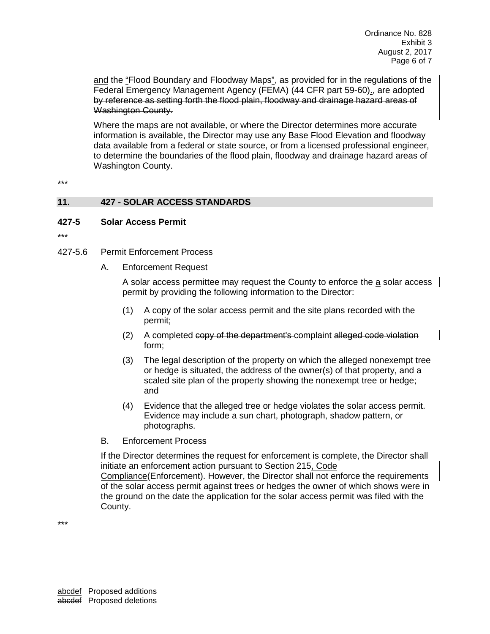and the "Flood Boundary and Floodway Maps", as provided for in the regulations of the Federal Emergency Management Agency (FEMA) (44 CFR part 59-60). are adopted by reference as setting forth the flood plain, floodway and drainage hazard areas of Washington County.

Where the maps are not available, or where the Director determines more accurate information is available, the Director may use any Base Flood Elevation and floodway data available from a federal or state source, or from a licensed professional engineer, to determine the boundaries of the flood plain, floodway and drainage hazard areas of Washington County.

\*\*\*

#### **11. 427 - SOLAR ACCESS STANDARDS**

#### **427-5 Solar Access Permit**

- \*\*\*
- 427-5.6 Permit Enforcement Process
	- A. Enforcement Request

A solar access permittee may request the County to enforce the a solar access permit by providing the following information to the Director:

- (1) A copy of the solar access permit and the site plans recorded with the permit;
- (2) A completed copy of the department's complaint alleged code violation form;
- (3) The legal description of the property on which the alleged nonexempt tree or hedge is situated, the address of the owner(s) of that property, and a scaled site plan of the property showing the nonexempt tree or hedge; and
- (4) Evidence that the alleged tree or hedge violates the solar access permit. Evidence may include a sun chart, photograph, shadow pattern, or photographs.
- B. Enforcement Process

If the Director determines the request for enforcement is complete, the Director shall initiate an enforcement action pursuant to Section 215, Code Compliance (Enforcement). However, the Director shall not enforce the requirements of the solar access permit against trees or hedges the owner of which shows were in the ground on the date the application for the solar access permit was filed with the County.